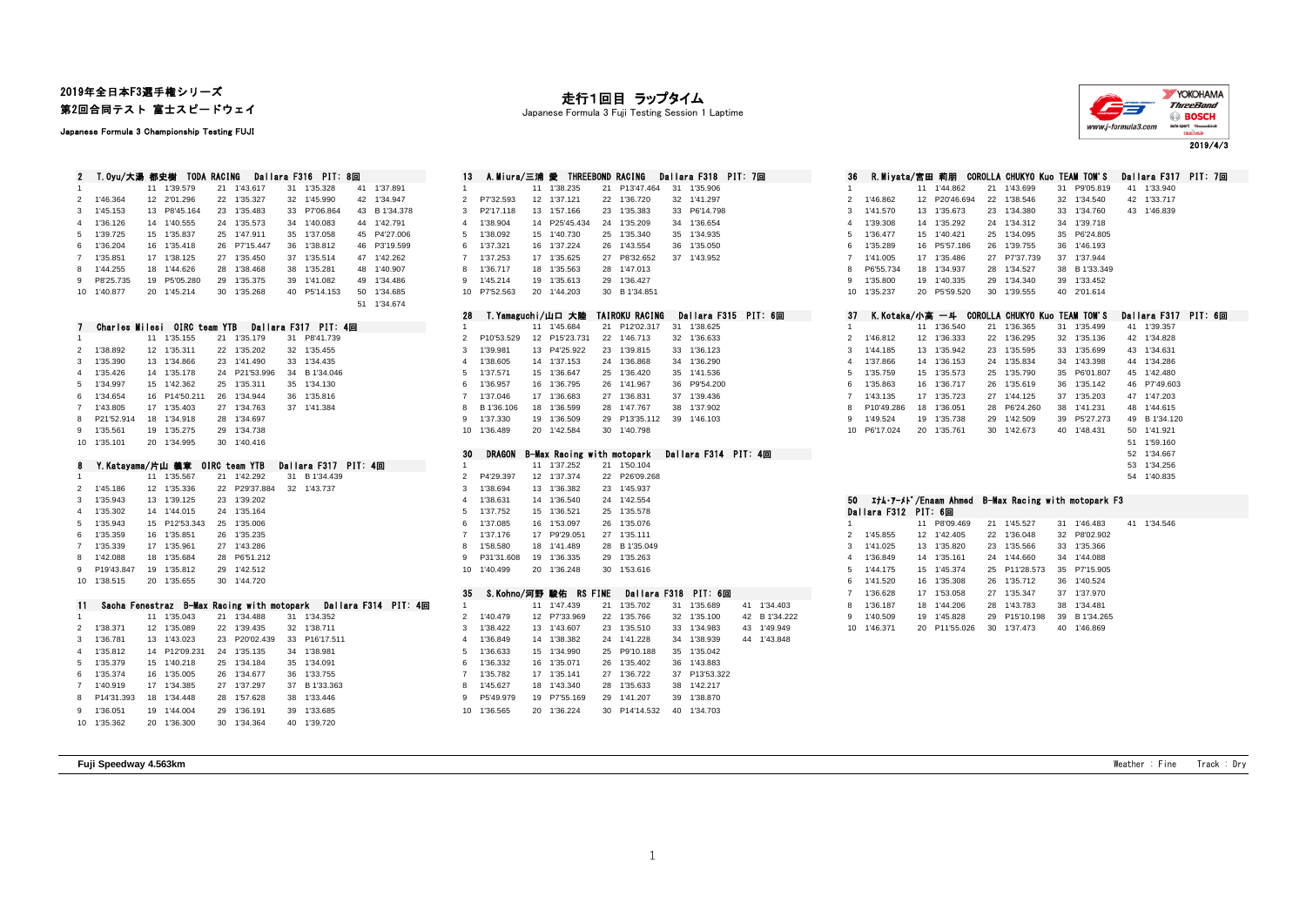## 2019年全日本F3選手権シリーズ 第2回合同テスト 富士スピードウェイ

Japanese Formula 3 Championship Testing FUJI

| 走行1回目 ラップタイム |  |  |
|--------------|--|--|
|--------------|--|--|

Japanese Formula 3 Fuji Testing Session 1 Laptime



2019/4/3

| 2                   |                         | T.Oyu/大湯 都史樹 TODA RACING     |                            | Dallara F316 PIT: 8回       |                                                                      | 13                              |                           | A. Miura/三浦 愛 THREEBOND RACING | Dallara F318 PIT: 7回 |               | 36                  |                      | R.Miyata/宮田 莉朋 | COROLLA CHUKYO Kuo TEAM TOM'S                       |               | Dallara F317     |
|---------------------|-------------------------|------------------------------|----------------------------|----------------------------|----------------------------------------------------------------------|---------------------------------|---------------------------|--------------------------------|----------------------|---------------|---------------------|----------------------|----------------|-----------------------------------------------------|---------------|------------------|
|                     |                         | 11 1'39.579                  | 21 1'43.617                | 31 1'35.328                | 41 1'37.891                                                          |                                 | 11 1'38.235               | 21 P13'47.464                  | 1'35.906<br>31       |               | $\mathbf{1}$        |                      | 11 1'44.862    | 21 1'43.699                                         | 31 P9'05.819  | 41<br>1'33.940   |
| $\overline{2}$      | 1'46.364                | 12 2'01.296                  | 22 1'35.327                | 32 1'45.990                | 42 1'34.947                                                          | P7'32.593<br>2                  | 12 1'37.121               | 22 1'36.720                    | 32 1'41.297          |               | $\overline{2}$      | 1'46.862             | 12 P20'46.694  | 22 1'38.546                                         | 32 1'34.540   | 42 1'33.717      |
| 3                   | 1'45.153                | 13 P8'45.164                 | 23 1'35.483                | 33 P7'06.864               | 43 B 1'34.378                                                        | P2'17.118<br>3                  | 13 1'57.166               | 23 1'35.383                    | 33 P6'14.798         |               | 3                   | 1'41.570             | 13 1'35.673    | 23 1'34.380                                         | 33 1'34.760   | 43 1'46.839      |
|                     | 1'36.126                | 14 1'40.555                  | 24 1'35.573                | 34 1'40.083                | 44 1'42.791                                                          | 1'38.904<br>$\overline{4}$      | 14 P25'45.434             | 24 1'35.209                    | 34 1'36.654          |               | $\overline{4}$      | 1'39.308             | 14 1'35.292    | 24 1'34.312                                         | 34 1'39.718   |                  |
| 5                   | 1'39.725                | 15 1'35.837                  | 25 1'47.911                | 35 1'37.058                | 45 P4'27.006                                                         | 1'38.092<br>5                   | 15 1'40.730               | 25 1'35.340                    | 35 1'34.935          |               | 5                   | 1'36.477             | 15 1'40.421    | 25 1'34.095                                         | 35 P6'24.805  |                  |
| 6                   | 1'36.204                | 16 1'35.418                  | 26 P7'15.447               | 36 1'38.812                | 46 P3'19.599                                                         | 1'37.321<br>6                   | 16 1'37.224               | 26 1'43.554                    | 36 1'35.050          |               | 6                   | 1'35.289             | 16 P5'57.186   | 26 1'39.755                                         | 36 1'46.193   |                  |
|                     | 1'35.851                | 17 1'38.125                  | 27 1'35.450                | 37 1'35.514                | 47 1'42.262                                                          | 1'37.253<br>$\overline{7}$      | 17 1'35.625               | 27 P8'32.652                   | 37 1'43.952          |               | $\overline{7}$      | 1'41.005             | 17 1'35.486    | 27 P7'37.739                                        | 37 1'37.944   |                  |
| R                   | 1'44.255                | 18 1'44.626                  | 28 1'38.468                | 38 1'35.281                | 48 1'40.907                                                          | 1'36.717<br>8                   | 18 1'35.563               | 28 1'47.013                    |                      |               | 8                   | P6'55.734            | 18 1'34.937    | 28 1'34.527                                         | 38 B 1'33.349 |                  |
|                     | P8'25.735               | 19 P5'05.280                 | 29<br>1'35.375             | 39 1'41.082                | 49 1'34.486                                                          | 1'45.214<br>9                   | 19 1'35.613               | 29 1'36.427                    |                      |               | 9                   | 1'35.800             | 19 1'40.335    | 29 1'34.340                                         | 39 1'33.452   |                  |
|                     | 10 1'40.877             | 20 1'45.214                  | 30 1'35.268                | 40 P5'14.153               | 50 1'34.685                                                          | 10 P7'52.563                    | 20 1'44.203               | 30 B 1'34.851                  |                      |               | 10 <sup>1</sup>     | 1'35.237             | 20 P5'59.520   | 30 1'39.555                                         | 40 2'01.614   |                  |
|                     |                         |                              |                            |                            | 51 1'34.674                                                          |                                 |                           |                                |                      |               |                     |                      |                |                                                     |               |                  |
|                     |                         |                              |                            |                            |                                                                      | 28                              | <b>T. Yamaguchi/山口 大陸</b> | TAIROKU RACING                 | Dallara F315 PIT: 6回 |               | 37                  |                      | K.Kotaka/小高 一斗 | COROLLA CHUKYO Kuo TEAM TOM'S                       |               | Dallara F317     |
|                     |                         | Charles Milesi OIRC team YTB |                            | Dallara F317 PIT: 4回       |                                                                      |                                 | 11 1'45.684               | 21 P12'02.317                  | 31 1'38.625          |               |                     |                      | 11 1'36.540    | 21 1'36.365                                         | 31 1'35.499   | 41 1'39.357      |
|                     |                         | 11 1'35.155                  | 21 1'35.179                | 31 P8'41.739               |                                                                      | P10'53.529<br>2                 | 12 P15'23.731             | 22 1'46.713                    | 32 1'36.633          |               | $\overline{2}$      | 1'46.812             | 12 1'36.333    | 22 1'36.295                                         | 32 1'35.136   | 42 1'34.828      |
| $\overline{a}$      | 1'38.892                | 12 1'35.311                  | 22 1'35.202                | 32 1'35.455                |                                                                      | 3<br>1'39.981                   | 13 P4'25.922              | 23 1'39.815                    | 33 1'36.123          |               | 3                   | 1'44.185             | 13 1'35.942    | 23 1'35.595                                         | 33 1'35,699   | 1'34.631<br>43   |
| 3                   | 1'35.390                | 13 1'34.866                  | 23 1'41.490                | 33 1'34.435                |                                                                      | 1'38.605<br>$\mathbf{A}$        | 14 1'37.153               | 24 1'36.868                    | 34 1'36.290          |               | $\Delta$            | 1'37.866             | 14 1'36.153    | 24 1'35.834                                         | 34 1'43.398   | 44 1'34.286      |
|                     | 1'35.426                | 14 1'35.178                  | 24 P21'53.996              | 34 B 1'34.046              |                                                                      | 1'37.571<br>-5                  | 15 1'36.647               | 25 1'36.420                    | 35 1'41.536          |               | 5                   | 1'35.759             | 15 1'35.573    | 25 1'35.790                                         | 35 P6'01.807  | 1'42.480<br>45   |
| 5                   | 1'34.997                | 15 1'42.362                  | 25 1'35.311                | 35 1'34.130                |                                                                      | 1'36.957<br>6                   | 16 1'36.795               | 26 1'41.967                    | 36 P9'54.200         |               | 6                   | 1'35.863             | 16 1'36.717    | 26 1'35.619                                         | 36 1'35.142   | P7'49.603<br>46  |
| 6                   | 1'34.654                | 16 P14'50.211                | 26<br>1'34.944             | 36 1'35.816                |                                                                      | 1'37.046<br>$\overline{7}$      | 17 1'36,683               | 27 1'36.831                    | 37 1'39.436          |               | $\overline{7}$      | 1'43.135             | 17 1'35.723    | 27 1'44.125                                         | 37 1'35.203   | 1'47.203<br>47   |
|                     | 1'43.805                | 17 1'35.403                  | 27 1'34.763                | 37 1'41.384                |                                                                      | B 1'36.106<br>8                 | 18 1'36.599               | 28 1'47,767                    | 38 1'37.902          |               | 8                   | P10'49.286           | 18 1'36.051    | 28 P6'24.260                                        | 38 1'41.231   | 1'44.615<br>48   |
| 8                   | P21'52.914              | 18 1'34.918                  | 28 1'34.697                |                            |                                                                      | 1'37.330<br>9                   | 19 1'36.509               | 29 P13'35.112                  | 39 1'46.103          |               | 9                   | 1'49.524             | 19 1'35.738    | 29 1'42.509                                         | 39 P5'27.273  | B 1'34.120<br>49 |
| 9                   | 1'35.561                | 19 1'35.275                  | 29 1'34.738                |                            |                                                                      | 10 1'36.489                     | 20 1'42.584               | 30 1'40.798                    |                      |               |                     | 10 P6'17.024         | 20 1'35.761    | 30 1'42.673                                         | 40 1'48.431   | 50<br>1'41.921   |
|                     | 10 1'35.101             | 20 1'34.995                  | 30 1'40.416                |                            |                                                                      |                                 |                           |                                |                      |               |                     |                      |                |                                                     |               | 1'59.160<br>51   |
|                     |                         |                              |                            |                            |                                                                      | 30<br>DRAGON                    |                           | B-Max Racing with motopark     | Dallara F314 PIT: 4回 |               |                     |                      |                |                                                     |               | 1'34.667<br>52   |
| 8.                  |                         | Y.Katayama/片山 差章             | OIRC team YTB              | Dallara F317 PIT: 4回       |                                                                      | $\overline{1}$                  | 11 1'37.252               | 21 1'50.104                    |                      |               |                     |                      |                |                                                     |               | 1'34.256<br>53   |
|                     |                         |                              |                            |                            |                                                                      |                                 |                           |                                |                      |               |                     |                      |                |                                                     |               |                  |
|                     |                         |                              |                            | 31 B 1'34.439              |                                                                      | P4'29.397<br>2                  | 12 1'37.374               |                                |                      |               |                     |                      |                |                                                     |               | 54 1'40.835      |
|                     |                         | 11 1'35.567                  | 21 1'42.292                |                            |                                                                      |                                 |                           | 22 P26'09.268                  |                      |               |                     |                      |                |                                                     |               |                  |
| $\overline{c}$<br>3 | 1'45.186                | 12 1'35.336                  | 22 P29'37.884              | 32 1'43.737                |                                                                      | 3<br>1'38.694<br>$\overline{4}$ | 13 1'36.382               | 23 1'45.937                    |                      |               |                     |                      |                |                                                     |               |                  |
|                     | 1'35.943                | 13 1'39.125                  | 23 1'39.202                |                            |                                                                      | 1'38.631                        | 14 1'36.540               | 24 1'42.554                    |                      |               | 50                  |                      |                | エナム・アーメト /Enaam Ahmed B-Max Racing with motopark F3 |               |                  |
|                     | 1'35.302                | 14 1'44.015                  | 24 1'35.164                |                            |                                                                      | 1'37.752<br>5                   | 15 1'36.521               | 25 1'35.578                    |                      |               |                     | Dallara F312 PIT: 6回 |                |                                                     |               |                  |
| 5<br>6              | 1'35.943                | 15 P12'53.343                | 25 1'35.006                |                            |                                                                      | 1'37.085<br>6<br>7              | 16 1'53.097               | 26 1'35.076                    |                      |               |                     |                      | 11 P8'09.469   | 21 1'45.527                                         | 31 1'46.483   | 41 1'34.546      |
|                     | 1'35.359                | 16 1'35.851                  | 26 1'35.235                |                            |                                                                      | 1'37.176<br>8                   | 17 P9'29.051              | 27 1'35.111                    |                      |               | $\overline{2}$<br>3 | 1'45.855             | 12 1'42.405    | 22 1'36.048                                         | 32 P8'02.902  |                  |
| R                   | 1'35.339                | 17 1'35.961                  | 27 1'43.286                |                            |                                                                      | 1'58.580                        | 18 1'41.489               | 28 B 1'35.049                  |                      |               |                     | 1'41.025             | 13 1'35.820    | 23 1'35,566                                         | 33 1'35.366   |                  |
|                     | 1'42.088                | 18 1'35.684                  | 28 P6'51.212               |                            |                                                                      | P31'31.608<br>-9                | 19 1'36.335               | 29 1'35.263                    |                      |               | 4                   | 1'36.849             | 14 1'35.161    | 24 1'44.660                                         | 34 1'44.088   |                  |
| 9                   | P19'43.847              | 19 1'35.812                  | 29 1'42.512                |                            |                                                                      | 10 1'40.499                     | 20 1'36.248               | 30 1'53.616                    |                      |               | 5                   | 1'44.175             | 15 1'45.374    | 25 P11'28.573                                       | 35 P7'15.905  |                  |
|                     | 10 1'38.515             | 20 1'35.655                  | 30 1'44.720                |                            |                                                                      |                                 |                           |                                |                      |               | 6<br>$\overline{7}$ | 1'41.520             | 16 1'35.308    | 26 1'35.712                                         | 36 1'40.524   |                  |
|                     |                         |                              |                            |                            |                                                                      | 35<br>$\overline{1}$            | S.Kohno/河野 駿佑 RS FINE     | Dallara F318                   | PIT: 6回              |               |                     | 1'36.628             | 17 1'53.058    | 27 1'35.347                                         | 37 1'37.970   |                  |
|                     |                         |                              |                            |                            | 11  Sacha Fenestraz B-Max Racing with motopark  Dallara F314 PIT: 4回 |                                 | 11 1'47.439               | 21<br>1'35.702                 | 31 1'35.689          | 41 1'34.403   | 8                   | 1'36.187             | 18 1'44.206    | 28 1'43.783                                         | 38 1'34.481   |                  |
|                     |                         | 11 1'35.043                  | 21 1'34.488                | 31 1'34.352                |                                                                      | 2<br>1'40.479                   | 12 P7'33.969              | 22<br>1'35.766                 | 32 1'35.100          | 42 B 1'34.222 | 9                   | 1'40.509             | 19 1'45.828    | 29 P15'10.198                                       | 39 B 1'34.265 |                  |
| $\overline{a}$      | 1'38.371                | 12 1'35.089                  | 22 1'39.435                | 32 1'38.711                |                                                                      | 3<br>1'38.422                   | 13 1'43.607               | 23 1'35.510                    | 33 1'34.983          | 43 1'49.949   |                     | 10 1'46.371          | 20 P11'55.026  | 30 1'37.473                                         | 40 1'46.869   |                  |
|                     | 1'36.781                | 13 1'43.023                  | 23 P20'02.439              | 33 P16'17.511              |                                                                      | 1'36.849<br>$\overline{4}$      | 14 1'38.382               | 24 1'41.228                    | 1'38.939<br>34       | 44 1'43.848   |                     |                      |                |                                                     |               |                  |
|                     | 1'35.812                | 14 P12'09.231                | 24 1'35.135                | 34 1'38.981                |                                                                      | 1'36.633<br>5                   | 15 1'34.990               | 25 P9'10.188                   | 35 1'35.042          |               |                     |                      |                |                                                     |               |                  |
|                     | 1'35.379                | 15 1'40.218                  | 25 1'34.184                | 35 1'34.091                |                                                                      | 1'36.332<br>6                   | 16 1'35.071               | 26 1'35.402                    | 36 1'43.883          |               |                     |                      |                |                                                     |               |                  |
| հ                   | 1'35.374                | 16 1'35.005                  | 26 1'34.677                | 36 1'33.755                |                                                                      | 1'35.782<br>$\overline{7}$      | 17 1'35.141               | 27 1'36.722                    | 37 P13'53.322        |               |                     |                      |                |                                                     |               |                  |
|                     | 1'40.919                | 17 1'34.385                  | 27 1'37.297                | 37 B 1'33.363              |                                                                      | 1'45.627<br>8                   | 18 1'43.340               | 28 1'35.633                    | 38 1'42.217          |               |                     |                      |                |                                                     |               |                  |
| 8                   | P14'31.393              | 18 1'34.448                  | 28 1'57.628                | 38 1'33.446                |                                                                      | P5'49.979<br>9                  | 19 P7'55.169              | 29 1'41.207                    | 39 1'38.870          |               |                     |                      |                |                                                     |               |                  |
| 9                   | 1'36.051<br>10 1'35.362 | 19 1'44.004<br>20 1'36.300   | 29 1'36.191<br>30 1'34.364 | 39 1'33.685<br>40 1'39.720 |                                                                      | 10 1'36.565                     | 20 1'36.224               | 30 P14'14.532                  | 40 1'34,703          |               |                     |                      |                |                                                     |               |                  |

|                |             | 11 | 1'38.235                   | 21 | P13'47.464            |    | 31 1'35.906          |    |             | 1                       |                |    | 11 1'44.862           | 21 | 1'43.699                             | 31 | P9'05.819    | 41 | 1'33.940    |
|----------------|-------------|----|----------------------------|----|-----------------------|----|----------------------|----|-------------|-------------------------|----------------|----|-----------------------|----|--------------------------------------|----|--------------|----|-------------|
| $\overline{c}$ | P7'32.593   |    | 12 1'37.121                | 22 | 1'36.720              |    | 32 1'41.297          |    |             | $\overline{\mathbf{c}}$ | 1'46.862       |    | 12 P20'46.694         | 22 | 1'38.546                             |    | 32 1'34.540  | 42 | 1'33.717    |
| 3              | P2'17.118   | 13 | 1'57.166                   | 23 | 1'35.383              | 33 | P6'14.798            |    |             | 3                       | 1'41.570       |    | 13 1'35.673           | 23 | 1'34.380                             |    | 33 1'34.760  |    | 43 1'46.839 |
| 4              | 1'38.904    | 14 | P25'45.434                 |    | 24 1'35.209           |    | 34 1'36.654          |    |             | 4                       | 1'39.308       |    | 14 1'35.292           | 24 | 1'34.312                             | 34 | 1'39.718     |    |             |
| 5              | 1'38.092    | 15 | 1'40.730                   | 25 | 1'35.340              | 35 | 1'34.935             |    |             | 5                       | 1'36.477       |    | 15 1'40.421           | 25 | 1'34.095                             | 35 | P6'24.805    |    |             |
| 6              | 1'37.321    | 16 | 1'37.224                   | 26 | 1'43.554              | 36 | 1'35.050             |    |             | 6                       | 1'35.289       | 16 | P5'57.186             | 26 | 1'39.755                             | 36 | 1'46.193     |    |             |
|                | 1'37.253    |    | 17 1'35.625                | 27 | P8'32.652             |    | 37 1'43.952          |    |             | 7                       | 1'41.005       |    | 17 1'35.486           | 27 | P7'37.739                            |    | 37 1'37.944  |    |             |
| 8              | 1'36.717    | 18 | 1'35.563                   | 28 | 1'47.013              |    |                      |    |             | 8                       | P6'55.734      | 18 | 1'34.937              | 28 | 1'34.527                             | 38 | B 1'33.349   |    |             |
| 9              | 1'45.214    | 19 | 1'35.613                   | 29 | 1'36.427              |    |                      |    |             | 9                       | 1'35.800       |    | 19 1'40.335           | 29 | 1'34.340                             |    | 39 1'33.452  |    |             |
| 10             | P7'52.563   | 20 | 1'44.203                   |    | 30 B 1'34.851         |    |                      |    |             | 10                      | 1'35.237       |    | 20 P5'59.520          | 30 | 1'39.555                             |    | 40 2'01.614  |    |             |
|                |             |    |                            |    |                       |    |                      |    |             |                         |                |    |                       |    |                                      |    |              |    |             |
| 28             |             |    | T. Yamaguchi/山口 大陸         |    | <b>TAIROKU RACING</b> |    | Dallara F315 PIT: 6回 |    |             | 37                      | K.Kotaka/小高 一斗 |    |                       |    | <b>COROLLA CHUKYO Kuo TEAM TOM'S</b> |    |              |    | Dallara F31 |
|                |             |    | 11 1'45.684                |    | 21 P12'02.317         |    | 31 1'38.625          |    |             | 1                       |                |    | 11 1'36.540           | 21 | 1'36.365                             |    | 31 1'35.499  |    | 41 1'39.357 |
| $\overline{c}$ | P10'53.529  | 12 | P15'23.731                 |    | 22 1'46.713           |    | 32 1'36.633          |    |             | $\overline{\mathbf{c}}$ | 1'46.812       |    | 12 1'36.333           | 22 | 1'36.295                             |    | 32 1'35.136  |    | 42 1'34.828 |
| 3              | 1'39.981    | 13 | P4'25.922                  |    | 23 1'39.815           | 33 | 1'36.123             |    |             | 3                       | 1'44.185       |    | 13 1'35.942           | 23 | 1'35.595                             |    | 33 1'35.699  | 43 | 1'34.631    |
| 4              | 1'38.605    | 14 | 1'37.153                   |    | 24 1'36.868           | 34 | 1'36.290             |    |             | 4                       | 1'37.866       |    | 14 1'36.153           | 24 | 1'35.834                             | 34 | 1'43.398     | 44 | 1'34.286    |
| 5              | 1'37.571    | 15 | 1'36.647                   |    | 25 1'36.420           |    | 35 1'41.536          |    |             | 5                       | 1'35.759       |    | 15 1'35.573           | 25 | 1'35.790                             | 35 | P6'01.807    | 45 | 1'42.480    |
| 6              | 1'36.957    | 16 | 1'36.795                   | 26 | 1'41.967              | 36 | P9'54.200            |    |             | 6                       | 1'35.863       |    | 16 1'36.717           | 26 | 1'35.619                             | 36 | 1'35.142     | 46 | P7'49.60    |
|                | 1'37.046    |    | 17 1'36.683                |    | 27 1'36.831           |    | 37 1'39.436          |    |             | $\overline{7}$          | 1'43.135       |    | 17 1'35.723           | 27 | 1'44.125                             |    | 37 1'35.203  | 47 | 1'47.203    |
|                | B 1'36.106  | 18 | 1'36.599                   | 28 | 1'47.767              | 38 | 1'37.902             |    |             | 8                       | P10'49.286     | 18 | 1'36.051              | 28 | P6'24.260                            | 38 | 1'41.231     | 48 | 1'44.615    |
| 9              | 1'37.330    | 19 | 1'36.509                   | 29 | P13'35.112            |    | 39 1'46.103          |    |             | 9                       | 1'49.524       |    | 19 1'35.738           | 29 | 1'42.509                             | 39 | P5'27.273    | 49 | B 1'34.1    |
| 10             | 1'36.489    | 20 | 1'42.584                   |    | 30 1'40.798           |    |                      |    |             | 10                      | P6'17.024      |    | 20 1'35.761           | 30 | 1'42.673                             |    | 40 1'48.431  | 50 | 1'41.921    |
|                |             |    |                            |    |                       |    |                      |    |             |                         |                |    |                       |    |                                      |    |              | 51 | 1'59.160    |
| 30             | DRAGON      |    | B-Max Racing with motopark |    |                       |    | Dallara F314 PIT: 4回 |    |             |                         |                |    |                       |    |                                      |    |              | 52 | 1'34.667    |
|                |             | 11 | 1'37.252                   |    | 21 1'50.104           |    |                      |    |             |                         |                |    |                       |    |                                      |    |              | 53 | 1'34.256    |
| $\overline{c}$ | P4'29.397   | 12 | 1'37.374                   |    | 22 P26'09.268         |    |                      |    |             |                         |                |    |                       |    |                                      |    |              |    | 54 1'40.835 |
| 3              | 1'38.694    | 13 | 1'36.382                   |    | 23 1'45.937           |    |                      |    |             |                         |                |    |                       |    |                                      |    |              |    |             |
| 4              | 1'38.631    | 14 | 1'36.540                   |    | 24 1'42.554           |    |                      |    |             | 50                      |                |    | エナム・アーメト°/Enaam Ahmed |    | B-Max Racing with motopark F3        |    |              |    |             |
| 5              | 1'37.752    |    | 15 1'36.521                |    | 25 1'35.578           |    |                      |    |             |                         | Dallara F312   |    | PIT: 6回               |    |                                      |    |              |    |             |
| 6              | 1'37.085    | 16 | 1'53.097                   | 26 | 1'35.076              |    |                      |    |             | 1                       |                |    | 11 P8'09.469          |    | 21 1'45.527                          |    | 31 1'46.483  |    | 41 1'34.546 |
|                | 1'37.176    | 17 | P9'29.051                  |    | 27 1'35.111           |    |                      |    |             | $\overline{\mathbf{c}}$ | 1'45.855       |    | 12 1'42.405           | 22 | 1'36.048                             | 32 | P8'02.902    |    |             |
| 8              | 1'58.580    | 18 | 1'41.489                   | 28 | B 1'35.049            |    |                      |    |             | 3                       | 1'41.025       |    | 13 1'35.820           | 23 | 1'35.566                             |    | 33 1'35.366  |    |             |
| 9              | P31'31.608  | 19 | 1'36.335                   | 29 | 1'35.263              |    |                      |    |             | 4                       | 1'36.849       |    | 14 1'35.161           | 24 | 1'44.660                             | 34 | 1'44.088     |    |             |
|                | 10 1'40.499 | 20 | 1'36.248                   |    | 30 1'53.616           |    |                      |    |             | 5                       | 1'44.175       |    | 15 1'45.374           | 25 | P11'28.573                           |    | 35 P7'15.905 |    |             |
|                |             |    |                            |    |                       |    |                      |    |             | 6                       | 1'41.520       |    | 16 1'35.308           | 26 | 1'35.712                             |    | 36 1'40.524  |    |             |
| 35             | S. Kohno/河野 |    | <b>RS FINE</b><br>駿佑       |    | Dallara F318          |    | PIT: 6回              |    |             | $\overline{7}$          | 1'36.628       |    | 17 1'53.058           | 27 | 1'35.347                             |    | 37 1'37.970  |    |             |
|                |             |    | 11 1'47.439                | 21 | 1'35.702              |    | 31 1'35.689          |    | 41 1'34.403 | 8                       | 1'36.187       |    | 18 1'44.206           | 28 | 1'43.783                             | 38 | 1'34.481     |    |             |
| $\overline{c}$ | 1'40.479    | 12 | P7'33.969                  | 22 | 1'35.766              | 32 | 1'35.100             | 42 | B 1'34.222  | 9                       | 1'40.509       |    | 19 1'45.828           | 29 | P15'10.198                           | 39 | B 1'34.265   |    |             |
| 3              | 1'38.422    |    | 13 1'43.607                |    | 23 1'35.510           |    | 33 1'34.983          | 43 | 1'49.949    | 10                      | 1'46.371       |    | 20 P11'55.026         | 30 | 1'37.473                             |    | 40 1'46.869  |    |             |
| 4              | 1'36.849    | 14 | 1'38.382                   |    | 24 1'41.228           | 34 | 1'38.939             | 44 | 1'43.848    |                         |                |    |                       |    |                                      |    |              |    |             |
| 5              | 1'36.633    | 15 | 1'34.990                   | 25 | P9'10.188             | 35 | 1'35.042             |    |             |                         |                |    |                       |    |                                      |    |              |    |             |
| 6              | 1'36.332    | 16 | 1'35.071                   | 26 | 1'35.402              |    | 36 1'43.883          |    |             |                         |                |    |                       |    |                                      |    |              |    |             |
|                | 1'35.782    | 17 | 1'35.141                   | 27 | 1'36.722              | 37 | P13'53.322           |    |             |                         |                |    |                       |    |                                      |    |              |    |             |
| 8              | 1'45.627    |    | 1'43.340                   |    | 1'35.633              |    | 38 1'42.217          |    |             |                         |                |    |                       |    |                                      |    |              |    |             |
|                |             | 18 |                            | 28 |                       |    |                      |    |             |                         |                |    |                       |    |                                      |    |              |    |             |
| 9              | P5'49.979   | 19 | P7'55.169                  | 29 | 1'41.207              | 39 | 1'38.870             |    |             |                         |                |    |                       |    |                                      |    |              |    |             |
|                | 10 1'36.565 | 20 | 1'36.224                   | 30 | P14'14.532            |    | 40 1'34.703          |    |             |                         |                |    |                       |    |                                      |    |              |    |             |
|                |             |    |                            |    |                       |    |                      |    |             |                         |                |    |                       |    |                                      |    |              |    |             |

| 13             |                    |    | A. Miura/三浦 愛 THREEBOND RACING |    |                |    | Dallara F318 PIT: 7回 | 36             | R.Miyata/宮田 莉朋       |    |               |    | <b>COROLLA CHUKYO Kuo TEAM TOM'S</b>                 |    |               |    | Dallara F317 | PIT: 7回 |  |
|----------------|--------------------|----|--------------------------------|----|----------------|----|----------------------|----------------|----------------------|----|---------------|----|------------------------------------------------------|----|---------------|----|--------------|---------|--|
| $\mathbf{1}$   |                    |    | 11 1'38.235                    |    | 21 P13'47.464  |    | 31 1'35.906          |                |                      |    | 11 1'44.862   |    | 21 1'43.699                                          |    | 31 P9'05.819  |    | 41 1'33.940  |         |  |
| 2              | P7'32.593          |    | 12 1'37.121                    |    | 22 1'36.720    |    | 32 1'41.297          | $\overline{2}$ | 1'46.862             |    | 12 P20'46.694 |    | 22 1'38.546                                          |    | 32 1'34.540   |    | 42 1'33.717  |         |  |
| 3              | P2'17.118          |    | 13 1'57.166                    |    | 23 1'35.383    |    | 33 P6'14.798         | 3              | 1'41.570             |    | 13 1'35.673   |    | 23 1'34.380                                          |    | 33 1'34.760   |    | 43 1'46.839  |         |  |
| 4              | 1'38.904           |    | 14 P25'45.434                  |    | 24 1'35.209    |    | 34 1'36.654          |                | 1'39.308             |    | 14 1'35.292   |    | 24 1'34.312                                          |    | 34 1'39.718   |    |              |         |  |
| 5              | 1'38.092           |    | 15 1'40.730                    |    | 25 1'35.340    | 35 | 1'34.935             | 5              | 1'36.477             |    | 15 1'40.421   |    | 25 1'34.095                                          |    | 35 P6'24.805  |    |              |         |  |
| 6              | 1'37.321           |    | 16 1'37.224                    |    | 26 1'43.554    | 36 | 1'35.050             | 6              | 1'35.289             | 16 | P5'57.186     |    | 26 1'39.755                                          |    | 36 1'46.193   |    |              |         |  |
| $\overline{7}$ | 1'37.253           |    | 17 1'35.625                    |    | 27 P8'32.652   |    | 37 1'43.952          |                | 1'41.005             |    | 17 1'35.486   |    | 27 P7'37.739                                         |    | 37 1'37.944   |    |              |         |  |
| 8              | 1'36.717           | 18 | 1'35.563                       |    | 28 1'47.013    |    |                      |                | P6'55.734            | 18 | 1'34.937      |    | 28 1'34.527                                          |    | 38 B 1'33.349 |    |              |         |  |
| 9              | 1'45.214           |    | 19 1'35.613                    |    | 29 1'36.427    |    |                      | 9              | 1'35.800             | 19 | 1'40.335      |    | 29 1'34.340                                          |    | 39 1'33.452   |    |              |         |  |
|                | 10 P7'52.563       |    | 20 1'44.203                    |    | 30 B 1'34.851  |    |                      | 10             | 1'35.237             | 20 | P5'59.520     |    | 30 1'39.555                                          |    | 40 2'01.614   |    |              |         |  |
| 28             | T. Yamaguchi/山口 大陸 |    |                                |    | TAIROKU RACING |    | Dallara F315 PIT: 6回 | 37             | K. Kotaka/小高 一斗      |    |               |    | <b>COROLLA CHUKYO Kuo TEAM TOM'S</b>                 |    |               |    | Dallara F317 | PIT: 6回 |  |
| 1              |                    |    | 11 1'45.684                    |    | 21 P12'02.317  |    | 31 1'38.625          |                |                      |    | 11 1'36.540   |    | 21 1'36.365                                          |    | 31 1'35.499   |    | 41 1'39.357  |         |  |
| 2              | P10'53.529         |    | 12 P15'23.731                  |    | 22 1'46.713    |    | 32 1'36.633          | $\overline{2}$ | 1'46.812             |    | 12 1'36.333   |    | 22 1'36.295                                          |    | 32 1'35.136   | 42 | 1'34.828     |         |  |
| 3              | 1'39.981           |    | 13 P4'25.922                   |    | 23 1'39.815    | 33 | 1'36.123             | 3              | 1'44.185             |    | 13 1'35.942   | 23 | 1'35.595                                             |    | 33 1'35.699   | 43 | 1'34.631     |         |  |
| 4              | 1'38.605           | 14 | 1'37.153                       |    | 24 1'36.868    | 34 | 1'36.290             | 4              | 1'37.866             | 14 | 1'36.153      | 24 | 1'35.834                                             |    | 34 1'43.398   | 44 | 1'34.286     |         |  |
| 5              | 1'37.571           | 15 | 1'36.647                       |    | 25 1'36.420    |    | 35 1'41.536          | 5              | 1'35.759             |    | 15 1'35.573   |    | 25 1'35.790                                          |    | 35 P6'01.807  | 45 | 1'42.480     |         |  |
| 6              | 1'36.957           | 16 | 1'36.795                       |    | 26 1'41.967    | 36 | P9'54.200            | 6              | 1'35.863             | 16 | 1'36.717      |    | 26 1'35.619                                          |    | 36 1'35.142   | 46 | P7'49.603    |         |  |
| $\overline{7}$ | 1'37.046           | 17 | 1'36.683                       | 27 | 1'36.831       | 37 | 1'39.436             |                | 1'43.135             |    | 17 1'35.723   |    | 27 1'44.125                                          |    | 37 1'35.203   | 47 | 1'47.203     |         |  |
| 8              | B 1'36.106         | 18 | 1'36.599                       | 28 | 1'47.767       | 38 | 1'37.902             | 8              | P10'49.286           | 18 | 1'36.051      | 28 | P6'24.260                                            |    | 38 1'41.231   | 48 | 1'44.615     |         |  |
| 9              | 1'37.330           | 19 | 1'36.509                       | 29 | P13'35.112     | 39 | 1'46.103             | 9              | 1'49.524             | 19 | 1'35.738      | 29 | 1'42.509                                             |    | 39 P5'27.273  | 49 | B 1'34.120   |         |  |
|                | 10 1'36.489        | 20 | 1'42.584                       | 30 | 1'40.798       |    |                      | 10             | P6'17.024            | 20 | 1'35.761      |    | 30 1'42.673                                          |    | 40 1'48.431   | 50 | 1'41.921     |         |  |
|                |                    |    |                                |    |                |    |                      |                |                      |    |               |    |                                                      |    |               | 51 | 1'59.160     |         |  |
| 30             | <b>DRAGON</b>      |    | B-Max Racing with motopark     |    |                |    | Dallara F314 PIT: 4回 |                |                      |    |               |    |                                                      |    |               | 52 | 1'34.667     |         |  |
| 1              |                    |    | 11 1'37.252                    |    | 21 1'50.104    |    |                      |                |                      |    |               |    |                                                      |    |               | 53 | 1'34.256     |         |  |
| 2              | P4'29.397          | 12 | 1'37.374                       |    | 22 P26'09.268  |    |                      |                |                      |    |               |    |                                                      |    |               | 54 | 1'40.835     |         |  |
| 3              | 1'38.694           | 13 | 1'36.382                       | 23 | 1'45.937       |    |                      |                |                      |    |               |    |                                                      |    |               |    |              |         |  |
| 4              | 1'38.631           | 14 | 1'36.540                       |    | 24 1'42.554    |    |                      | 50             |                      |    |               |    | エナム・アーメト / Enaam Ahmed B-Max Racing with motopark F3 |    |               |    |              |         |  |
| 5              | 1'37.752           | 15 | 1'36.521                       | 25 | 1'35.578       |    |                      |                | Dallara F312 PIT: 6回 |    |               |    |                                                      |    |               |    |              |         |  |
| 6              | 1'37.085           | 16 | 1'53.097                       | 26 | 1'35.076       |    |                      |                |                      |    | 11 P8'09.469  |    | 21 1'45.527                                          |    | 31 1'46.483   |    | 41 1'34.546  |         |  |
| $\overline{7}$ | 1'37.176           | 17 | P9'29.051                      | 27 | 1'35.111       |    |                      | $\mathfrak{p}$ | 1'45.855             |    | 12 1'42.405   |    | 22 1'36.048                                          |    | 32 P8'02.902  |    |              |         |  |
| 8              | 1'58.580           | 18 | 1'41.489                       | 28 | B 1'35.049     |    |                      | 3              | 1'41.025             | 13 | 1'35.820      |    | 23 1'35.566                                          | 33 | 1'35.366      |    |              |         |  |
| 9              | P31'31.608         | 19 | 1'36.335                       | 29 | 1'35.263       |    |                      | 4              | 1'36.849             | 14 | 1'35.161      |    | 24 1'44.660                                          |    | 34 1'44.088   |    |              |         |  |
|                | 10 1'40.499        | 20 | 1'36.248                       | 30 | 1'53.616       |    |                      | 5              | 1'44.175             | 15 | 1'45.374      | 25 | P11'28.573                                           |    | 35 P7'15.905  |    |              |         |  |
|                |                    |    |                                |    |                |    |                      |                | 1'41.520             | 16 | 1'35.308      | 26 | 1'35.712                                             |    | 36 1'40.524   |    |              |         |  |
| 35             | S.Kohno/河野 駿佑      |    | <b>RS FINE</b>                 |    |                |    | Dallara F318 PIT: 6回 |                | 1'36.628             |    | 17 1'53.058   |    | 27 1'35.347                                          |    | 37 1'37.970   |    |              |         |  |

**Fuji Speedway 4.563km** Weather : Fine Track : Dry